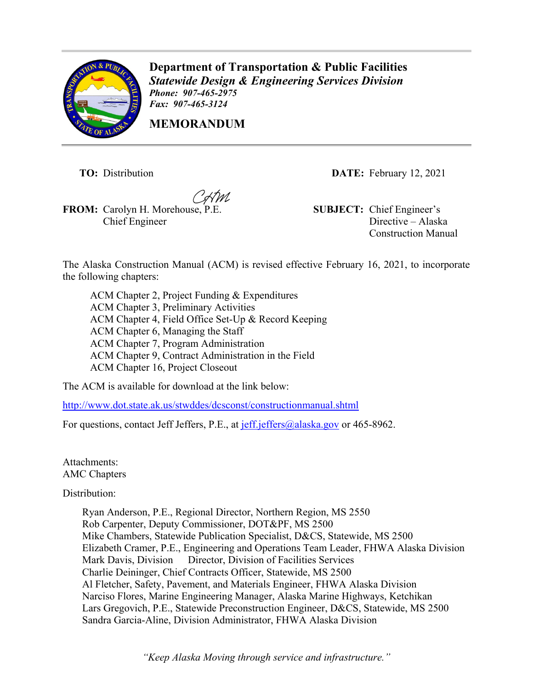

**Department of Transportation & Public Facilities** *Statewide Design & Engineering Services Division Phone: 907-465-2975 Fax: 907-465-3124*

**MEMORANDUM**

**FROM:** Carolyn H. Morehouse, P.E. **SUBJECT:** Chief Engineer's Chief Engineer

**TO:** Distribution **DATE:** February 12, 2021

Directive – Alaska Construction Manual

The Alaska Construction Manual (ACM) is revised effective February 16, 2021, to incorporate the following chapters:

ACM Chapter 2, Project Funding & Expenditures ACM Chapter 3, Preliminary Activities ACM Chapter 4, Field Office Set-Up & Record Keeping ACM Chapter 6, Managing the Staff ACM Chapter 7, Program Administration ACM Chapter 9, Contract Administration in the Field ACM Chapter 16, Project Closeout

The ACM is available for download at the link below:

<http://www.dot.state.ak.us/stwddes/dcsconst/constructionmanual.shtml>

For questions, contact Jeff Jeffers, P.E., at [jeff.jeffers@alaska.gov](mailto:jeff.jeffers@alaska.gov) or 465-8962.

Attachments: AMC Chapters

Distribution:

Ryan Anderson, P.E., Regional Director, Northern Region, MS 2550 Rob Carpenter, Deputy Commissioner, DOT&PF, MS 2500 Mike Chambers, Statewide Publication Specialist, D&CS, Statewide, MS 2500 Elizabeth Cramer, P.E., Engineering and Operations Team Leader, FHWA Alaska Division Mark Davis, Division Director, Division of Facilities Services Charlie Deininger, Chief Contracts Officer, Statewide, MS 2500 Al Fletcher, Safety, Pavement, and Materials Engineer, FHWA Alaska Division Narciso Flores, Marine Engineering Manager, Alaska Marine Highways, Ketchikan Lars Gregovich, P.E., Statewide Preconstruction Engineer, D&CS, Statewide, MS 2500 Sandra Garcia-Aline, Division Administrator, FHWA Alaska Division

*"Keep Alaska Moving through service and infrastructure."*